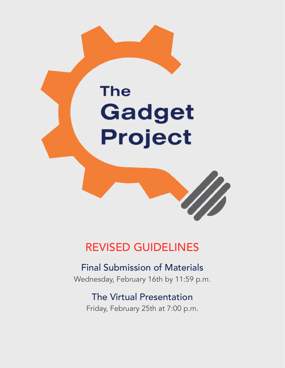# **The** Gadget Project



## REVISED GUIDELINES

### Final Submission of Materials Wednesday, February 16th by 11:59 p.m.

## The Virtual Presentation Friday, February 25th at 7:00 p.m.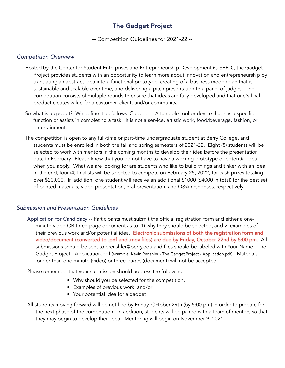#### The Gadget Project

-- Competition Guidelines for 2021-22 --

#### *Competition Overview*

- Hosted by the Center for Student Enterprises and Entrepreneurship Development (C-SEED), the Gadget Project provides students with an opportunity to learn more about innovation and entrepreneurship by translating an abstract idea into a functional prototype, creating of a business model/plan that is sustainable and scalable over time, and delivering a pitch presentation to a panel of judges. The competition consists of multiple rounds to ensure that ideas are fully developed and that one's final product creates value for a customer, client, and/or community.
- So what is a gadget? We define it as follows: Gadget A tangible tool or device that has a specific function or assists in completing a task. It is not a service, artistic work, food/beverage, fashion, or entertainment.
- The competition is open to any full-time or part-time undergraduate student at Berry College, and students must be enrolled in both the fall and spring semesters of 2021-22. Eight (8) students will be selected to work with mentors in the coming months to develop their idea before the presentation date in February. Please know that you do not have to have a working prototype or potential idea when you apply. What we are looking for are students who like to build things and tinker with an idea. In the end, four (4) finalists will be selected to compete on February 25, 2022, for cash prizes totaling over \$20,000. In addition, one student will receive an additional \$1000 (\$4000 in total) for the best set of printed materials, video presentation, oral presentation, and Q&A responses, respectively.

#### *Submission and Presentation Guidelines*

Application for Candidacy -- Participants must submit the official registration form and either a oneminute video OR three-page document as to: 1) why they should be selected, and 2) examples of their previous work and/or potential idea. Electronic submissions of both the registration form and video/document (converted to .pdf and .mov files) are due by Friday, October 22nd by 5:00 pm. All submissions should be sent to erenshler@berry.edu and files should be labeled with Your Name - The Gadget Project - Application.pdf (example: Kevin Renshler - The Gadget Project - Application.pdf). Materials longer than one-minute (video) or three-pages (document) will not be accepted.

Please remember that your submission should address the following:

- Why should you be selected for the competition,
- Examples of previous work, and/or
- Your potential idea for a gadget
- All students moving forward will be notified by Friday, October 29th (by 5:00 pm) in order to prepare for the next phase of the competition. In addition, students will be paired with a team of mentors so that they may begin to develop their idea. Mentoring will begin on November 9, 2021.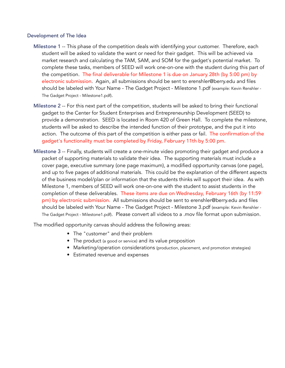#### Development of The Idea

- Milestone 1 -- This phase of the competition deals with identifying your customer. Therefore, each student will be asked to validate the want or need for their gadget. This will be achieved via market research and calculating the TAM, SAM, and SOM for the gadget's potential market. To complete these tasks, members of SEED will work one-on-one with the student during this part of the competition. The final deliverable for Milestone 1 is due on January 28th (by 5:00 pm) by electronic submission. Again, all submissions should be sent to erenshler@berry.edu and files should be labeled with Your Name - The Gadget Project - Milestone 1.pdf (example: Kevin Renshler - The Gadget Project - Milestone1.pdf).
- Milestone 2 -- For this next part of the competition, students will be asked to bring their functional gadget to the Center for Student Enterprises and Entrepreneurship Development (SEED) to provide a demonstration. SEED is located in Room 420 of Green Hall. To complete the milestone, students will be asked to describe the intended function of their prototype, and the put it into action. The outcome of this part of the competition is either pass or fail. The confirmation of the gadget's functionality must be completed by Friday, February 11th by 5:00 pm.
- Milestone 3 -- Finally, students will create a one-minute video promoting their gadget and produce a packet of supporting materials to validate their idea. The supporting materials must include a cover page, executive summary (one page maximum), a modified opportunity canvas (one page), and up to five pages of additional materials. This could be the explanation of the different aspects of the business model/plan or information that the students thinks will support their idea. As with Milestone 1, members of SEED will work one-on-one with the student to assist students in the completion of these deliverables. These items are due on Wednesday, February 16th (by 11:59 pm) by electronic submission. All submissions should be sent to erenshler@berry.edu and files should be labeled with Your Name - The Gadget Project - Milestone 3.pdf (example: Kevin Renshler - The Gadget Project - Milestone1.pdf). Please convert all videos to a .mov file format upon submission.

The modified opportunity canvas should address the following areas:

- The "customer" and their problem
- The product (a good or service) and its value proposition
- Marketing/operation considerations (production, placement, and promotion strategies)
- Estimated revenue and expenses